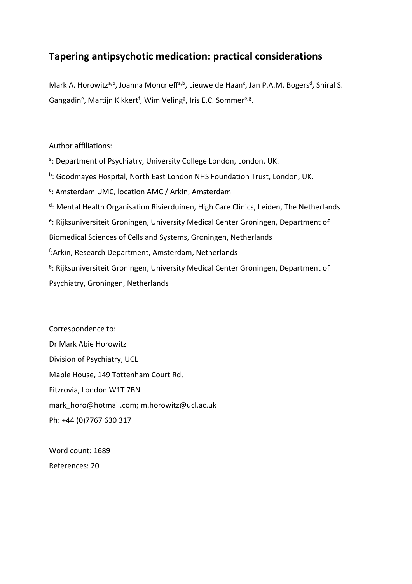# **Tapering antipsychotic medication: practical considerations**

Mark A. Horowitz<sup>a,b</sup>, Joanna Moncrieff<sup>a,b</sup>, Lieuwe de Haan<sup>c</sup>, Jan P.A.M. Bogers<sup>d</sup>, Shiral S. Gangadin<sup>e</sup>, Martijn Kikkert<sup>f</sup>, Wim Veling<sup>g</sup>, Iris E.C. Sommer<sup>e,g</sup>.

Author affiliations:

- <sup>a</sup>: Department of Psychiatry, University College London, London, UK.
- <sup>b</sup>: Goodmayes Hospital, North East London NHS Foundation Trust, London, UK.
- <sup>c</sup>: Amsterdam UMC, location AMC / Arkin, Amsterdam
- <sup>d</sup>: Mental Health Organisation Rivierduinen, High Care Clinics, Leiden, The Netherlands
- <sup>e</sup>: Rijksuniversiteit Groningen, University Medical Center Groningen, Department of

Biomedical Sciences of Cells and Systems, Groningen, Netherlands

- f :Arkin, Research Department, Amsterdam, Netherlands
- <sup>g</sup>: Rijksuniversiteit Groningen, University Medical Center Groningen, Department of Psychiatry, Groningen, Netherlands

Correspondence to: Dr Mark Abie Horowitz Division of Psychiatry, UCL Maple House, 149 Tottenham Court Rd, Fitzrovia, London W1T 7BN mark\_horo@hotmail.com; m.horowitz@ucl.ac.uk Ph: +44 (0)7767 630 317

Word count: 1689 References: 20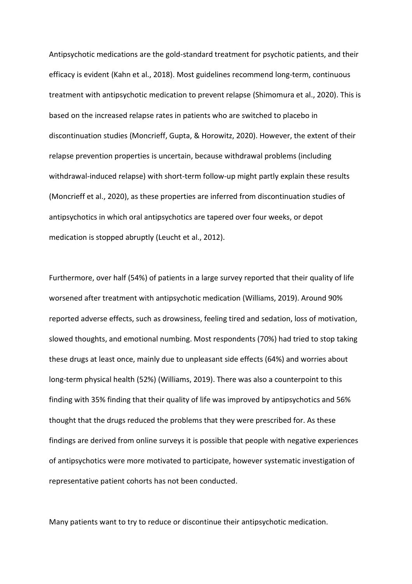Antipsychotic medications are the gold-standard treatment for psychotic patients, and their efficacy is evident (Kahn et al., 2018). Most guidelines recommend long-term, continuous treatment with antipsychotic medication to prevent relapse (Shimomura et al., 2020). This is based on the increased relapse rates in patients who are switched to placebo in discontinuation studies (Moncrieff, Gupta, & Horowitz, 2020). However, the extent of their relapse prevention properties is uncertain, because withdrawal problems (including withdrawal-induced relapse) with short-term follow-up might partly explain these results (Moncrieff et al., 2020), as these properties are inferred from discontinuation studies of antipsychotics in which oral antipsychotics are tapered over four weeks, or depot medication is stopped abruptly (Leucht et al., 2012).

Furthermore, over half (54%) of patients in a large survey reported that their quality of life worsened after treatment with antipsychotic medication (Williams, 2019). Around 90% reported adverse effects, such as drowsiness, feeling tired and sedation, loss of motivation, slowed thoughts, and emotional numbing. Most respondents (70%) had tried to stop taking these drugs at least once, mainly due to unpleasant side effects (64%) and worries about long-term physical health (52%) (Williams, 2019). There was also a counterpoint to this finding with 35% finding that their quality of life was improved by antipsychotics and 56% thought that the drugs reduced the problems that they were prescribed for. As these findings are derived from online surveys it is possible that people with negative experiences of antipsychotics were more motivated to participate, however systematic investigation of representative patient cohorts has not been conducted.

Many patients want to try to reduce or discontinue their antipsychotic medication.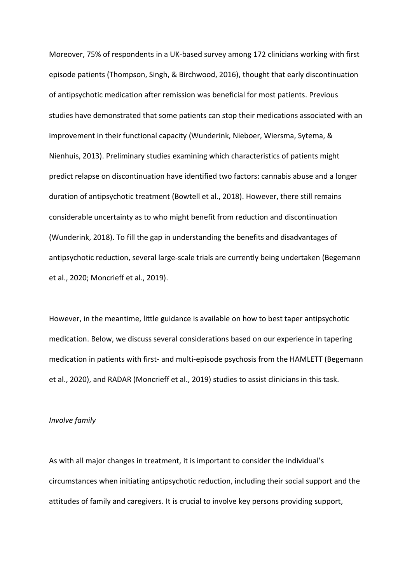Moreover, 75% of respondents in a UK-based survey among 172 clinicians working with first episode patients (Thompson, Singh, & Birchwood, 2016), thought that early discontinuation of antipsychotic medication after remission was beneficial for most patients. Previous studies have demonstrated that some patients can stop their medications associated with an improvement in their functional capacity (Wunderink, Nieboer, Wiersma, Sytema, & Nienhuis, 2013). Preliminary studies examining which characteristics of patients might predict relapse on discontinuation have identified two factors: cannabis abuse and a longer duration of antipsychotic treatment (Bowtell et al., 2018). However, there still remains considerable uncertainty as to who might benefit from reduction and discontinuation (Wunderink, 2018). To fill the gap in understanding the benefits and disadvantages of antipsychotic reduction, several large-scale trials are currently being undertaken (Begemann et al., 2020; Moncrieff et al., 2019).

However, in the meantime, little guidance is available on how to best taper antipsychotic medication. Below, we discuss several considerations based on our experience in tapering medication in patients with first- and multi-episode psychosis from the HAMLETT (Begemann et al., 2020), and RADAR (Moncrieff et al., 2019) studies to assist clinicians in this task.

#### *Involve family*

As with all major changes in treatment, it is important to consider the individual's circumstances when initiating antipsychotic reduction, including their social support and the attitudes of family and caregivers. It is crucial to involve key persons providing support,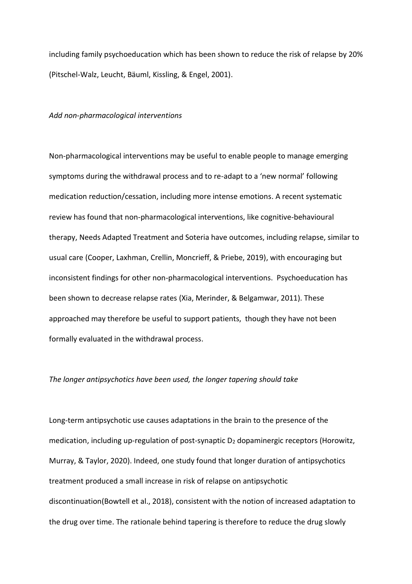including family psychoeducation which has been shown to reduce the risk of relapse by 20% (Pitschel-Walz, Leucht, Bäuml, Kissling, & Engel, 2001).

#### *Add non-pharmacological interventions*

Non-pharmacological interventions may be useful to enable people to manage emerging symptoms during the withdrawal process and to re-adapt to a 'new normal' following medication reduction/cessation, including more intense emotions. A recent systematic review has found that non-pharmacological interventions, like cognitive-behavioural therapy, Needs Adapted Treatment and Soteria have outcomes, including relapse, similar to usual care (Cooper, Laxhman, Crellin, Moncrieff, & Priebe, 2019), with encouraging but inconsistent findings for other non-pharmacological interventions. Psychoeducation has been shown to decrease relapse rates (Xia, Merinder, & Belgamwar, 2011). These approached may therefore be useful to support patients, though they have not been formally evaluated in the withdrawal process.

### *The longer antipsychotics have been used, the longer tapering should take*

Long-term antipsychotic use causes adaptations in the brain to the presence of the medication, including up-regulation of post-synaptic  $D_2$  dopaminergic receptors (Horowitz, Murray, & Taylor, 2020). Indeed, one study found that longer duration of antipsychotics treatment produced a small increase in risk of relapse on antipsychotic discontinuation(Bowtell et al., 2018), consistent with the notion of increased adaptation to the drug over time. The rationale behind tapering is therefore to reduce the drug slowly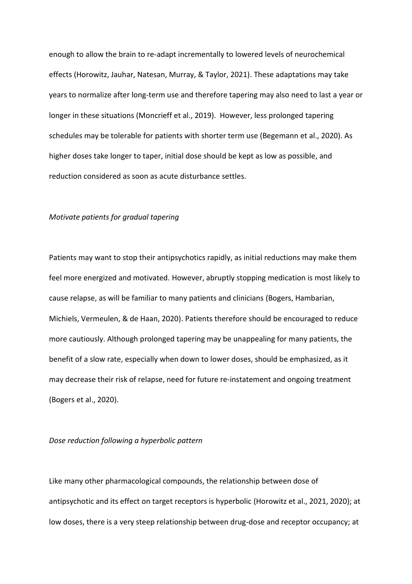enough to allow the brain to re-adapt incrementally to lowered levels of neurochemical effects (Horowitz, Jauhar, Natesan, Murray, & Taylor, 2021). These adaptations may take years to normalize after long-term use and therefore tapering may also need to last a year or longer in these situations (Moncrieff et al., 2019). However, less prolonged tapering schedules may be tolerable for patients with shorter term use (Begemann et al., 2020). As higher doses take longer to taper, initial dose should be kept as low as possible, and reduction considered as soon as acute disturbance settles.

### *Motivate patients for gradual tapering*

Patients may want to stop their antipsychotics rapidly, as initial reductions may make them feel more energized and motivated. However, abruptly stopping medication is most likely to cause relapse, as will be familiar to many patients and clinicians (Bogers, Hambarian, Michiels, Vermeulen, & de Haan, 2020). Patients therefore should be encouraged to reduce more cautiously. Although prolonged tapering may be unappealing for many patients, the benefit of a slow rate, especially when down to lower doses, should be emphasized, as it may decrease their risk of relapse, need for future re-instatement and ongoing treatment (Bogers et al., 2020).

## *Dose reduction following a hyperbolic pattern*

Like many other pharmacological compounds, the relationship between dose of antipsychotic and its effect on target receptors is hyperbolic (Horowitz et al., 2021, 2020); at low doses, there is a very steep relationship between drug-dose and receptor occupancy; at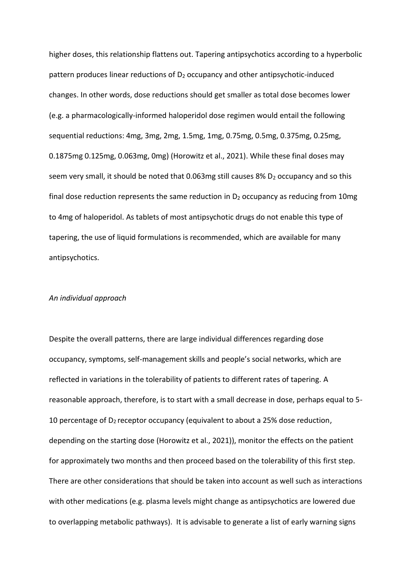higher doses, this relationship flattens out. Tapering antipsychotics according to a hyperbolic pattern produces linear reductions of D<sub>2</sub> occupancy and other antipsychotic-induced changes. In other words, dose reductions should get smaller as total dose becomes lower (e.g. a pharmacologically-informed haloperidol dose regimen would entail the following sequential reductions: 4mg, 3mg, 2mg, 1.5mg, 1mg, 0.75mg, 0.5mg, 0.375mg, 0.25mg, 0.1875mg 0.125mg, 0.063mg, 0mg) (Horowitz et al., 2021). While these final doses may seem very small, it should be noted that 0.063mg still causes 8%  $D_2$  occupancy and so this final dose reduction represents the same reduction in  $D_2$  occupancy as reducing from 10mg to 4mg of haloperidol. As tablets of most antipsychotic drugs do not enable this type of tapering, the use of liquid formulations is recommended, which are available for many antipsychotics.

#### *An individual approach*

Despite the overall patterns, there are large individual differences regarding dose occupancy, symptoms, self-management skills and people's social networks, which are reflected in variations in the tolerability of patients to different rates of tapering. A reasonable approach, therefore, is to start with a small decrease in dose, perhaps equal to 5- 10 percentage of  $D_2$  receptor occupancy (equivalent to about a 25% dose reduction, depending on the starting dose (Horowitz et al., 2021)), monitor the effects on the patient for approximately two months and then proceed based on the tolerability of this first step. There are other considerations that should be taken into account as well such as interactions with other medications (e.g. plasma levels might change as antipsychotics are lowered due to overlapping metabolic pathways). It is advisable to generate a list of early warning signs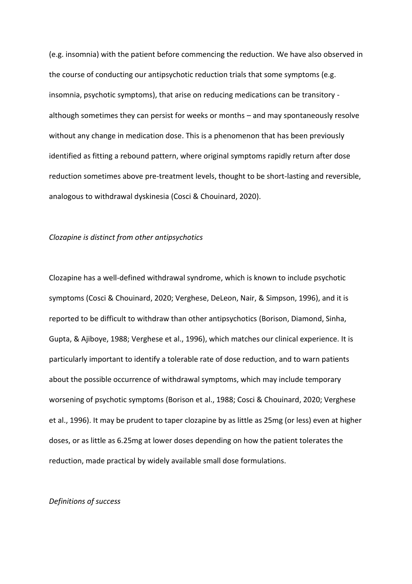(e.g. insomnia) with the patient before commencing the reduction. We have also observed in the course of conducting our antipsychotic reduction trials that some symptoms (e.g. insomnia, psychotic symptoms), that arise on reducing medications can be transitory although sometimes they can persist for weeks or months – and may spontaneously resolve without any change in medication dose. This is a phenomenon that has been previously identified as fitting a rebound pattern, where original symptoms rapidly return after dose reduction sometimes above pre-treatment levels, thought to be short-lasting and reversible, analogous to withdrawal dyskinesia (Cosci & Chouinard, 2020).

#### *Clozapine is distinct from other antipsychotics*

Clozapine has a well-defined withdrawal syndrome, which is known to include psychotic symptoms (Cosci & Chouinard, 2020; Verghese, DeLeon, Nair, & Simpson, 1996), and it is reported to be difficult to withdraw than other antipsychotics (Borison, Diamond, Sinha, Gupta, & Ajiboye, 1988; Verghese et al., 1996), which matches our clinical experience. It is particularly important to identify a tolerable rate of dose reduction, and to warn patients about the possible occurrence of withdrawal symptoms, which may include temporary worsening of psychotic symptoms (Borison et al., 1988; Cosci & Chouinard, 2020; Verghese et al., 1996). It may be prudent to taper clozapine by as little as 25mg (or less) even at higher doses, or as little as 6.25mg at lower doses depending on how the patient tolerates the reduction, made practical by widely available small dose formulations.

## *Definitions of success*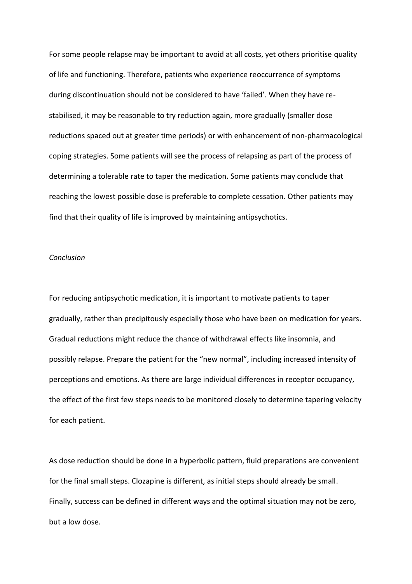For some people relapse may be important to avoid at all costs, yet others prioritise quality of life and functioning. Therefore, patients who experience reoccurrence of symptoms during discontinuation should not be considered to have 'failed'. When they have restabilised, it may be reasonable to try reduction again, more gradually (smaller dose reductions spaced out at greater time periods) or with enhancement of non-pharmacological coping strategies. Some patients will see the process of relapsing as part of the process of determining a tolerable rate to taper the medication. Some patients may conclude that reaching the lowest possible dose is preferable to complete cessation. Other patients may find that their quality of life is improved by maintaining antipsychotics.

## *Conclusion*

For reducing antipsychotic medication, it is important to motivate patients to taper gradually, rather than precipitously especially those who have been on medication for years. Gradual reductions might reduce the chance of withdrawal effects like insomnia, and possibly relapse. Prepare the patient for the "new normal", including increased intensity of perceptions and emotions. As there are large individual differences in receptor occupancy, the effect of the first few steps needs to be monitored closely to determine tapering velocity for each patient.

As dose reduction should be done in a hyperbolic pattern, fluid preparations are convenient for the final small steps. Clozapine is different, as initial steps should already be small. Finally, success can be defined in different ways and the optimal situation may not be zero, but a low dose.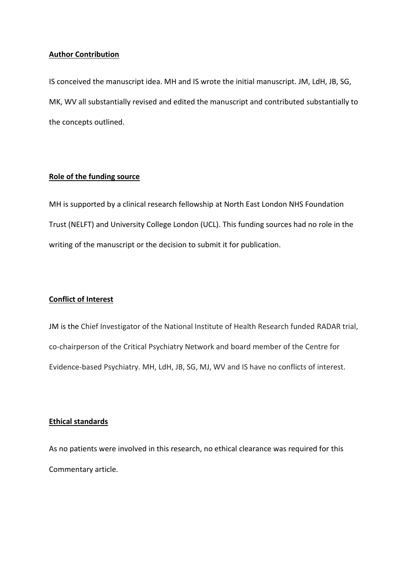## **Author Contribution**

IS conceived the manuscript idea. MH and IS wrote the initial manuscript. JM, LdH, JB, SG, MK, WV all substantially revised and edited the manuscript and contributed substantially to the concepts outlined.

## **Role of the funding source**

MH is supported by a clinical research fellowship at North East London NHS Foundation Trust (NELFT) and University College London (UCL). This funding sources had no role in the writing of the manuscript or the decision to submit it for publication.

## **Conflict of Interest**

JM is the Chief Investigator of the National Institute of Health Research funded RADAR trial, co-chairperson of the Critical Psychiatry Network and board member of the Centre for Evidence-based Psychiatry. MH, LdH, JB, SG, MJ, WV and IS have no conflicts of interest.

# **Ethical standards**

As no patients were involved in this research, no ethical clearance was required for this Commentary article.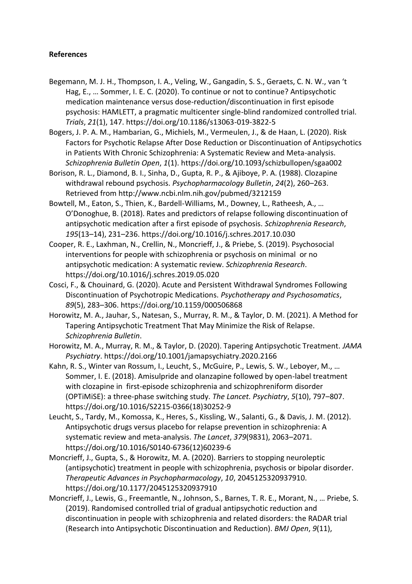# **References**

- Begemann, M. J. H., Thompson, I. A., Veling, W., Gangadin, S. S., Geraets, C. N. W., van 't Hag, E., … Sommer, I. E. C. (2020). To continue or not to continue? Antipsychotic medication maintenance versus dose-reduction/discontinuation in first episode psychosis: HAMLETT, a pragmatic multicenter single-blind randomized controlled trial. *Trials*, *21*(1), 147. https://doi.org/10.1186/s13063-019-3822-5
- Bogers, J. P. A. M., Hambarian, G., Michiels, M., Vermeulen, J., & de Haan, L. (2020). Risk Factors for Psychotic Relapse After Dose Reduction or Discontinuation of Antipsychotics in Patients With Chronic Schizophrenia: A Systematic Review and Meta-analysis. *Schizophrenia Bulletin Open*, *1*(1). https://doi.org/10.1093/schizbullopen/sgaa002
- Borison, R. L., Diamond, B. I., Sinha, D., Gupta, R. P., & Ajiboye, P. A. (1988). Clozapine withdrawal rebound psychosis. *Psychopharmacology Bulletin*, *24*(2), 260–263. Retrieved from http://www.ncbi.nlm.nih.gov/pubmed/3212159
- Bowtell, M., Eaton, S., Thien, K., Bardell-Williams, M., Downey, L., Ratheesh, A., … O'Donoghue, B. (2018). Rates and predictors of relapse following discontinuation of antipsychotic medication after a first episode of psychosis. *Schizophrenia Research*, *195*(13–14), 231–236. https://doi.org/10.1016/j.schres.2017.10.030
- Cooper, R. E., Laxhman, N., Crellin, N., Moncrieff, J., & Priebe, S. (2019). Psychosocial interventions for people with schizophrenia or psychosis on minimal or no antipsychotic medication: A systematic review. *Schizophrenia Research*. https://doi.org/10.1016/j.schres.2019.05.020
- Cosci, F., & Chouinard, G. (2020). Acute and Persistent Withdrawal Syndromes Following Discontinuation of Psychotropic Medications. *Psychotherapy and Psychosomatics*, *89*(5), 283–306. https://doi.org/10.1159/000506868
- Horowitz, M. A., Jauhar, S., Natesan, S., Murray, R. M., & Taylor, D. M. (2021). A Method for Tapering Antipsychotic Treatment That May Minimize the Risk of Relapse. *Schizophrenia Bulletin*.
- Horowitz, M. A., Murray, R. M., & Taylor, D. (2020). Tapering Antipsychotic Treatment. *JAMA Psychiatry*. https://doi.org/10.1001/jamapsychiatry.2020.2166
- Kahn, R. S., Winter van Rossum, I., Leucht, S., McGuire, P., Lewis, S. W., Leboyer, M., … Sommer, I. E. (2018). Amisulpride and olanzapine followed by open-label treatment with clozapine in first-episode schizophrenia and schizophreniform disorder (OPTiMiSE): a three-phase switching study. *The Lancet. Psychiatry*, *5*(10), 797–807. https://doi.org/10.1016/S2215-0366(18)30252-9
- Leucht, S., Tardy, M., Komossa, K., Heres, S., Kissling, W., Salanti, G., & Davis, J. M. (2012). Antipsychotic drugs versus placebo for relapse prevention in schizophrenia: A systematic review and meta-analysis. *The Lancet*, *379*(9831), 2063–2071. https://doi.org/10.1016/S0140-6736(12)60239-6
- Moncrieff, J., Gupta, S., & Horowitz, M. A. (2020). Barriers to stopping neuroleptic (antipsychotic) treatment in people with schizophrenia, psychosis or bipolar disorder. *Therapeutic Advances in Psychopharmacology*, *10*, 2045125320937910. https://doi.org/10.1177/2045125320937910
- Moncrieff, J., Lewis, G., Freemantle, N., Johnson, S., Barnes, T. R. E., Morant, N., … Priebe, S. (2019). Randomised controlled trial of gradual antipsychotic reduction and discontinuation in people with schizophrenia and related disorders: the RADAR trial (Research into Antipsychotic Discontinuation and Reduction). *BMJ Open*, *9*(11),